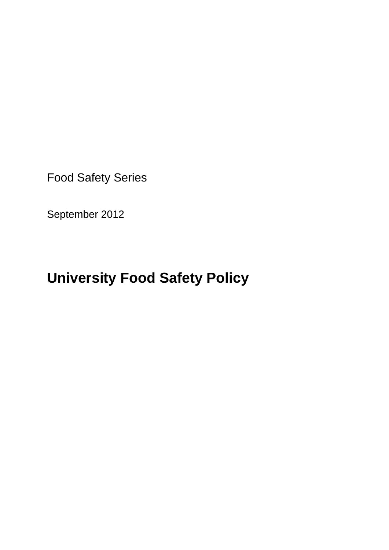Food Safety Series

September 2012

# **University Food Safety Policy**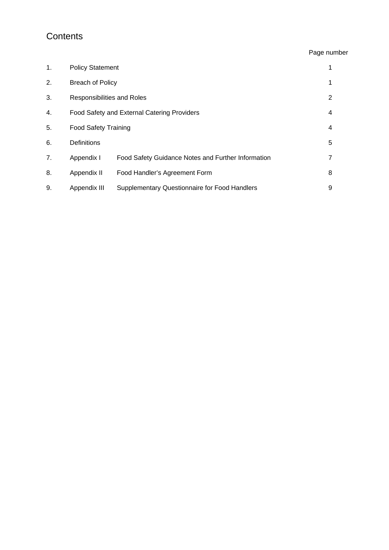### **Contents**

#### Page number

| 1. | <b>Policy Statement</b>                     |                                                      |   |
|----|---------------------------------------------|------------------------------------------------------|---|
| 2. | <b>Breach of Policy</b>                     |                                                      | 1 |
| 3. | Responsibilities and Roles                  |                                                      | 2 |
| 4. | Food Safety and External Catering Providers |                                                      | 4 |
| 5. | <b>Food Safety Training</b>                 |                                                      | 4 |
| 6. | Definitions                                 |                                                      | 5 |
| 7. | Appendix I                                  | Food Safety Guidance Notes and Further Information   | 7 |
| 8. | Appendix II                                 | Food Handler's Agreement Form                        | 8 |
| 9. | Appendix III                                | <b>Supplementary Questionnaire for Food Handlers</b> | 9 |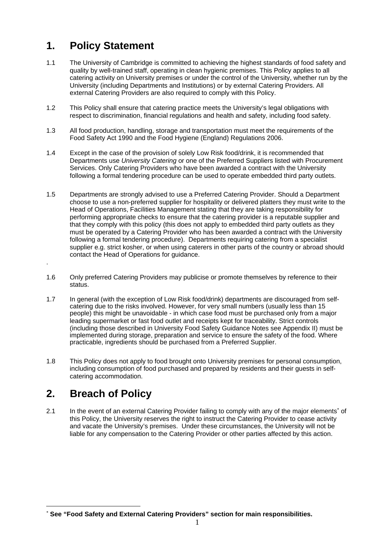# **1. Policy Statement**

- 1.1 The University of Cambridge is committed to achieving the highest standards of food safety and quality by well-trained staff, operating in clean hygienic premises. This Policy applies to all catering activity on University premises or under the control of the University, whether run by the University (including Departments and Institutions) or by external Catering Providers. All external Catering Providers are also required to comply with this Policy.
- 1.2 This Policy shall ensure that catering practice meets the University's legal obligations with respect to discrimination, financial regulations and health and safety, including food safety.
- 1.3 All food production, handling, storage and transportation must meet the requirements of the Food Safety Act 1990 and the Food Hygiene (England) Regulations 2006.
- 1.4 Except in the case of the provision of solely Low Risk food/drink, it is recommended that Departments use *University Catering* or one of the Preferred Suppliers listed with Procurement Services. Only Catering Providers who have been awarded a contract with the University following a formal tendering procedure can be used to operate embedded third party outlets.
- 1.5 Departments are strongly advised to use a Preferred Catering Provider. Should a Department choose to use a non-preferred supplier for hospitality or delivered platters they must write to the Head of Operations, Facilities Management stating that they are taking responsibility for performing appropriate checks to ensure that the catering provider is a reputable supplier and that they comply with this policy (this does not apply to embedded third party outlets as they must be operated by a Catering Provider who has been awarded a contract with the University following a formal tendering procedure). Departments requiring catering from a specialist supplier e.g. strict kosher, or when using caterers in other parts of the country or abroad should contact the Head of Operations for guidance.
- 1.6 Only preferred Catering Providers may publicise or promote themselves by reference to their status.
- 1.7 In general (with the exception of Low Risk food/drink) departments are discouraged from selfcatering due to the risks involved. However, for very small numbers (usually less than 15 people) this might be unavoidable - in which case food must be purchased only from a major leading supermarket or fast food outlet and receipts kept for traceability. Strict controls (including those described in University Food Safety Guidance Notes see Appendix II) must be implemented during storage, preparation and service to ensure the safety of the food. Where practicable, ingredients should be purchased from a Preferred Supplier.
- 1.8 This Policy does not apply to food brought onto University premises for personal consumption, including consumption of food purchased and prepared by residents and their guests in selfcatering accommodation.

# **2. Breach of Policy**

.

1

2.1 In the event of an external Catering Provider failing to comply with any of the major elements<sup>\*</sup> of this Policy, the University reserves the right to instruct the Catering Provider to cease activity and vacate the University's premises. Under these circumstances, the University will not be liable for any compensation to the Catering Provider or other parties affected by this action.

**See "Food Safety and External Catering Providers" section for main responsibilities.**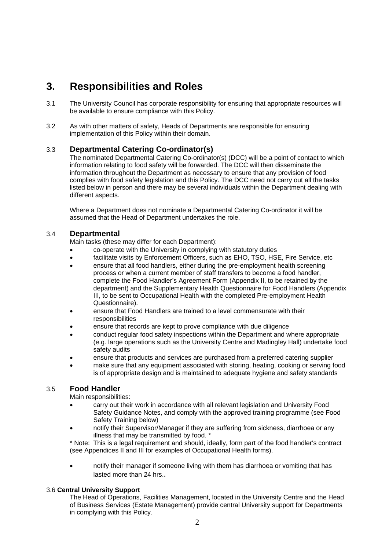### **3. Responsibilities and Roles**

- 3.1 The University Council has corporate responsibility for ensuring that appropriate resources will be available to ensure compliance with this Policy.
- 3.2 As with other matters of safety, Heads of Departments are responsible for ensuring implementation of this Policy within their domain.

#### 3.3 **Departmental Catering Co-ordinator(s)**

The nominated Departmental Catering Co-ordinator(s) (DCC) will be a point of contact to which information relating to food safety will be forwarded. The DCC will then disseminate the information throughout the Department as necessary to ensure that any provision of food complies with food safety legislation and this Policy. The DCC need not carry out all the tasks listed below in person and there may be several individuals within the Department dealing with different aspects.

Where a Department does not nominate a Departmental Catering Co-ordinator it will be assumed that the Head of Department undertakes the role.

#### 3.4 **Departmental**

Main tasks (these may differ for each Department):

- co-operate with the University in complying with statutory duties
- facilitate visits by Enforcement Officers, such as EHO, TSO, HSE, Fire Service, etc
- ensure that all food handlers, either during the pre-employment health screening process or when a current member of staff transfers to become a food handler, complete the Food Handler's Agreement Form (Appendix II, to be retained by the department) and the Supplementary Health Questionnaire for Food Handlers (Appendix III, to be sent to Occupational Health with the completed Pre-employment Health Questionnaire).
- ensure that Food Handlers are trained to a level commensurate with their responsibilities
- ensure that records are kept to prove compliance with due diligence
- conduct regular food safety inspections within the Department and where appropriate (e.g. large operations such as the University Centre and Madingley Hall) undertake food safety audits
- ensure that products and services are purchased from a preferred catering supplier
- make sure that any equipment associated with storing, heating, cooking or serving food is of appropriate design and is maintained to adequate hygiene and safety standards

#### 3.5 **Food Handler**

Main responsibilities:

- carry out their work in accordance with all relevant legislation and University Food Safety Guidance Notes, and comply with the approved training programme (see Food Safety Training below)
- notify their Supervisor/Manager if they are suffering from sickness, diarrhoea or any illness that may be transmitted by food. \*

\* Note: This is a legal requirement and should, ideally, form part of the food handler's contract (see Appendices II and III for examples of Occupational Health forms).

 notify their manager if someone living with them has diarrhoea or vomiting that has lasted more than 24 hrs..

#### 3.6 **Central University Support**

The Head of Operations, Facilities Management, located in the University Centre and the Head of Business Services (Estate Management) provide central University support for Departments in complying with this Policy.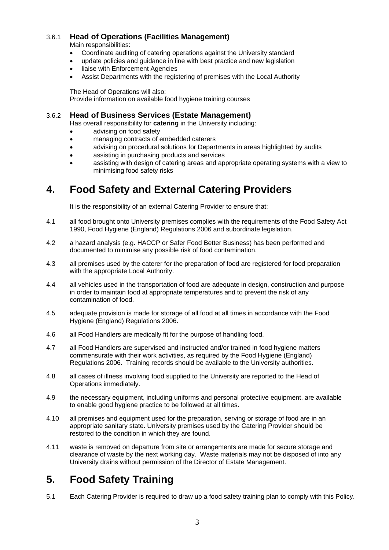#### 3.6.1 **Head of Operations (Facilities Management)**

Main responsibilities:

- Coordinate auditing of catering operations against the University standard
- update policies and guidance in line with best practice and new legislation
- liaise with Enforcement Agencies
- Assist Departments with the registering of premises with the Local Authority

The Head of Operations will also: Provide information on available food hygiene training courses

# 3.6.2 **Head of Business Services (Estate Management)** Has overall responsibility for **catering** in the University including:

- advising on food safety
- managing contracts of embedded caterers
- advising on procedural solutions for Departments in areas highlighted by audits
- assisting in purchasing products and services
- assisting with design of catering areas and appropriate operating systems with a view to minimising food safety risks

## **4. Food Safety and External Catering Providers**

It is the responsibility of an external Catering Provider to ensure that:

- 4.1 all food brought onto University premises complies with the requirements of the Food Safety Act 1990, Food Hygiene (England) Regulations 2006 and subordinate legislation.
- 4.2 a hazard analysis (e.g. HACCP or Safer Food Better Business) has been performed and documented to minimise any possible risk of food contamination.
- 4.3 all premises used by the caterer for the preparation of food are registered for food preparation with the appropriate Local Authority.
- 4.4 all vehicles used in the transportation of food are adequate in design, construction and purpose in order to maintain food at appropriate temperatures and to prevent the risk of any contamination of food.
- 4.5 adequate provision is made for storage of all food at all times in accordance with the Food Hygiene (England) Regulations 2006.
- 4.6 all Food Handlers are medically fit for the purpose of handling food.
- 4.7 all Food Handlers are supervised and instructed and/or trained in food hygiene matters commensurate with their work activities, as required by the Food Hygiene (England) Regulations 2006. Training records should be available to the University authorities.
- 4.8 all cases of illness involving food supplied to the University are reported to the Head of Operations immediately.
- 4.9 the necessary equipment, including uniforms and personal protective equipment, are available to enable good hygiene practice to be followed at all times.
- 4.10 all premises and equipment used for the preparation, serving or storage of food are in an appropriate sanitary state. University premises used by the Catering Provider should be restored to the condition in which they are found.
- 4.11 waste is removed on departure from site or arrangements are made for secure storage and clearance of waste by the next working day. Waste materials may not be disposed of into any University drains without permission of the Director of Estate Management.

# **5. Food Safety Training**

5.1 Each Catering Provider is required to draw up a food safety training plan to comply with this Policy.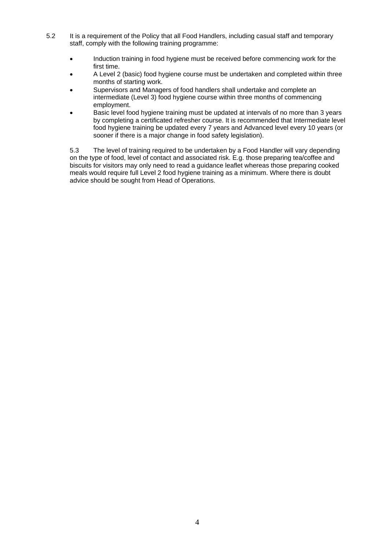- 5.2 It is a requirement of the Policy that all Food Handlers, including casual staff and temporary staff, comply with the following training programme:
	- Induction training in food hygiene must be received before commencing work for the first time.
	- A Level 2 (basic) food hygiene course must be undertaken and completed within three months of starting work.
	- Supervisors and Managers of food handlers shall undertake and complete an intermediate (Level 3) food hygiene course within three months of commencing employment.
	- Basic level food hygiene training must be updated at intervals of no more than 3 years by completing a certificated refresher course. It is recommended that Intermediate level food hygiene training be updated every 7 years and Advanced level every 10 years (or sooner if there is a major change in food safety legislation).

5.3 The level of training required to be undertaken by a Food Handler will vary depending on the type of food, level of contact and associated risk. E.g. those preparing tea/coffee and biscuits for visitors may only need to read a guidance leaflet whereas those preparing cooked meals would require full Level 2 food hygiene training as a minimum. Where there is doubt advice should be sought from Head of Operations.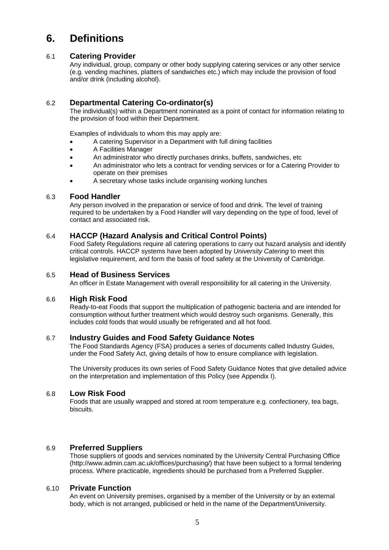## **6. Definitions**

#### 6.1 **Catering Provider**

Any individual, group, company or other body supplying catering services or any other service (e.g. vending machines, platters of sandwiches etc.) which may include the provision of food and/or drink (including alcohol).

#### 6.2 **Departmental Catering Co-ordinator(s)**

 The individual(s) within a Department nominated as a point of contact for information relating to the provision of food within their Department.

Examples of individuals to whom this may apply are:

- A catering Supervisor in a Department with full dining facilities
- A Facilities Manager
- An administrator who directly purchases drinks, buffets, sandwiches, etc
- An administrator who lets a contract for vending services or for a Catering Provider to operate on their premises
- A secretary whose tasks include organising working lunches

#### 6.3 **Food Handler**

Any person involved in the preparation or service of food and drink. The level of training required to be undertaken by a Food Handler will vary depending on the type of food, level of contact and associated risk.

#### 6.4 **HACCP (Hazard Analysis and Critical Control Points)**

Food Safety Regulations require all catering operations to carry out hazard analysis and identify critical controls. HACCP systems have been adopted by *University Catering* to meet this legislative requirement, and form the basis of food safety at the University of Cambridge.

#### 6.5 **Head of Business Services**

An officer in Estate Management with overall responsibility for all catering in the University.

#### 6.6 **High Risk Food**

Ready-to-eat Foods that support the multiplication of pathogenic bacteria and are intended for consumption without further treatment which would destroy such organisms. Generally, this includes cold foods that would usually be refrigerated and all hot food.

#### 6.7 **Industry Guides and Food Safety Guidance Notes**

The Food Standards Agency (FSA) produces a series of documents called Industry Guides, under the Food Safety Act, giving details of how to ensure compliance with legislation.

The University produces its own series of Food Safety Guidance Notes that give detailed advice on the interpretation and implementation of this Policy (see Appendix I).

#### 6.8 **Low Risk Food**

Foods that are usually wrapped and stored at room temperature e.g. confectionery, tea bags, biscuits.

#### 6.9 **Preferred Suppliers**

Those suppliers of goods and services nominated by the University Central Purchasing Office (http://www.admin.cam.ac.uk/offices/purchasing/) that have been subject to a formal tendering process. Where practicable, ingredients should be purchased from a Preferred Supplier.

#### 6.10 **Private Function**

An event on University premises, organised by a member of the University or by an external body, which is not arranged, publicised or held in the name of the Department/University.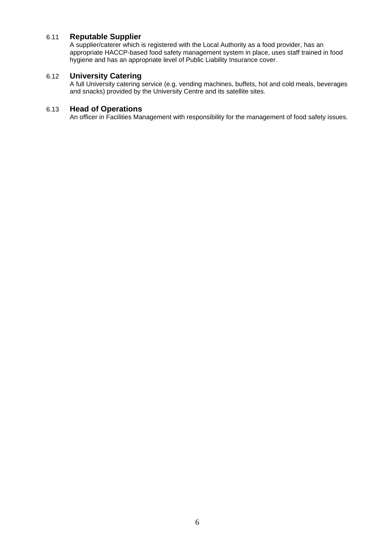#### 6.11 **Reputable Supplier**

A supplier/caterer which is registered with the Local Authority as a food provider, has an appropriate HACCP-based food safety management system in place, uses staff trained in food hygiene and has an appropriate level of Public Liability Insurance cover.

#### 6.12 **University Catering**

A full University catering service (e.g. vending machines, buffets, hot and cold meals, beverages and snacks) provided by the University Centre and its satellite sites.

#### 6.13 **Head of Operations**

An officer in Facilities Management with responsibility for the management of food safety issues.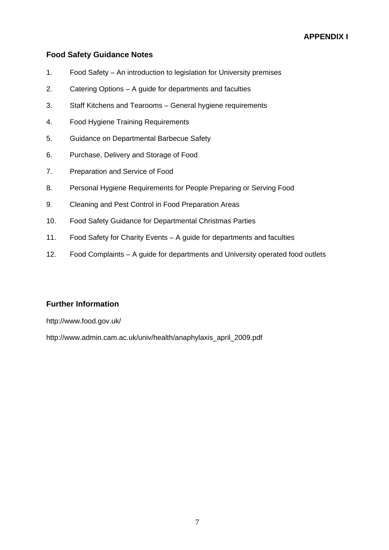#### **Food Safety Guidance Notes**

- 1. Food Safety An introduction to legislation for University premises
- 2. Catering Options A guide for departments and faculties
- 3. Staff Kitchens and Tearooms General hygiene requirements
- 4. Food Hygiene Training Requirements
- 5. Guidance on Departmental Barbecue Safety
- 6. Purchase, Delivery and Storage of Food
- 7. Preparation and Service of Food
- 8. Personal Hygiene Requirements for People Preparing or Serving Food
- 9. Cleaning and Pest Control in Food Preparation Areas
- 10. Food Safety Guidance for Departmental Christmas Parties
- 11. Food Safety for Charity Events A guide for departments and faculties
- 12. Food Complaints A guide for departments and University operated food outlets

#### **Further Information**

http://www.food.gov.uk/

http://www.admin.cam.ac.uk/univ/health/anaphylaxis\_april\_2009.pdf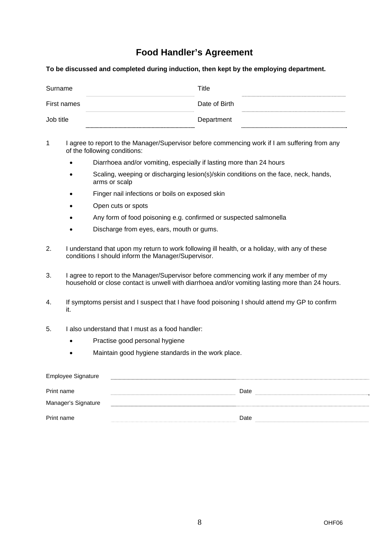### **Food Handler's Agreement**

**To be discussed and completed during induction, then kept by the employing department.** 

| Surname     | Title         |  |
|-------------|---------------|--|
| First names | Date of Birth |  |
| Job title   | Department    |  |

1 I agree to report to the Manager/Supervisor before commencing work if I am suffering from any of the following conditions:

- Diarrhoea and/or vomiting, especially if lasting more than 24 hours
- Scaling, weeping or discharging lesion(s)/skin conditions on the face, neck, hands, arms or scalp
- Finger nail infections or boils on exposed skin
- Open cuts or spots
- Any form of food poisoning e.g. confirmed or suspected salmonella
- Discharge from eyes, ears, mouth or gums.
- 2. I understand that upon my return to work following ill health, or a holiday, with any of these conditions I should inform the Manager/Supervisor.
- 3. I agree to report to the Manager/Supervisor before commencing work if any member of my household or close contact is unwell with diarrhoea and/or vomiting lasting more than 24 hours.
- 4. If symptoms persist and I suspect that I have food poisoning I should attend my GP to confirm it.
- 5. I also understand that I must as a food handler:
	- Practise good personal hygiene
	- Maintain good hygiene standards in the work place.

| Employee Signature  |      |
|---------------------|------|
| Print name          | Date |
| Manager's Signature |      |
| Print name          | Date |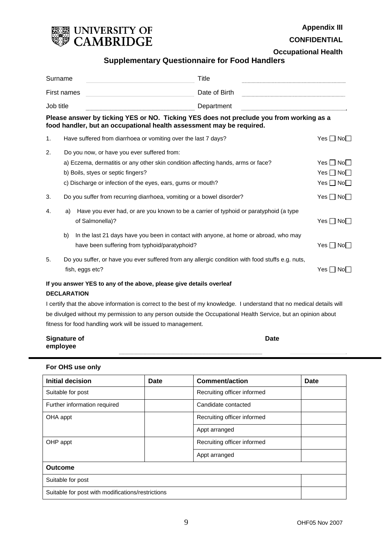

**Appendix III** 

**CONFIDENTIAL** 

**Occupational Health**

#### **Supplementary Questionnaire for Food Handlers**

| Surname                                                                                                                                                                                                                                                                                                                                                                                                                                                                                                |    | Title                                                                                                                                                                                                                                |                             |                                                                    |  |
|--------------------------------------------------------------------------------------------------------------------------------------------------------------------------------------------------------------------------------------------------------------------------------------------------------------------------------------------------------------------------------------------------------------------------------------------------------------------------------------------------------|----|--------------------------------------------------------------------------------------------------------------------------------------------------------------------------------------------------------------------------------------|-----------------------------|--------------------------------------------------------------------|--|
| First names                                                                                                                                                                                                                                                                                                                                                                                                                                                                                            |    |                                                                                                                                                                                                                                      | Date of Birth<br>Department |                                                                    |  |
| Job title<br>$\begin{minipage}{0.9\linewidth} \begin{tabular}{l} \hline \multicolumn{3}{l}{} & \multicolumn{3}{l}{} & \multicolumn{3}{l}{} & \multicolumn{3}{l}{} \\ \multicolumn{3}{l}{} & \multicolumn{3}{l}{} & \multicolumn{3}{l}{} & \multicolumn{3}{l}{} \\ \multicolumn{3}{l}{} & \multicolumn{3}{l}{} & \multicolumn{3}{l}{} & \multicolumn{3}{l}{} \\ \multicolumn{3}{l}{} & \multicolumn{3}{l}{} & \multicolumn{3}{l}{} & \multicolumn{3}{l}{} \\ \multicolumn{3}{l}{} & \multicolumn{3}{l}$ |    |                                                                                                                                                                                                                                      |                             |                                                                    |  |
|                                                                                                                                                                                                                                                                                                                                                                                                                                                                                                        |    | Please answer by ticking YES or NO. Ticking YES does not preclude you from working as a<br>food handler, but an occupational health assessment may be required.                                                                      |                             |                                                                    |  |
| 1.                                                                                                                                                                                                                                                                                                                                                                                                                                                                                                     |    | Have suffered from diarrhoea or vomiting over the last 7 days?                                                                                                                                                                       |                             | Yes I I Nol I                                                      |  |
| 2.                                                                                                                                                                                                                                                                                                                                                                                                                                                                                                     |    | Do you now, or have you ever suffered from:<br>a) Eczema, dermatitis or any other skin condition affecting hands, arms or face?<br>b) Boils, styes or septic fingers?<br>c) Discharge or infection of the eyes, ears, gums or mouth? |                             | $Yes \sqcap No \sqcap$<br>$Yes \Box No \Box$<br>$Yes \Box No \Box$ |  |
| 3.                                                                                                                                                                                                                                                                                                                                                                                                                                                                                                     |    | Do you suffer from recurring diarrhoea, vomiting or a bowel disorder?                                                                                                                                                                |                             | Yes $\Box$ No $\Box$                                               |  |
| 4.                                                                                                                                                                                                                                                                                                                                                                                                                                                                                                     | a) | Have you ever had, or are you known to be a carrier of typhoid or paratyphoid (a type<br>of Salmonella)?                                                                                                                             |                             | $Yes \Box No \Box$                                                 |  |
|                                                                                                                                                                                                                                                                                                                                                                                                                                                                                                        | b) | In the last 21 days have you been in contact with anyone, at home or abroad, who may<br>have been suffering from typhoid/paratyphoid?                                                                                                |                             | $Yes \Box No \Box$                                                 |  |
| 5.                                                                                                                                                                                                                                                                                                                                                                                                                                                                                                     |    | Do you suffer, or have you ever suffered from any allergic condition with food stuffs e.g. nuts,<br>fish, eggs etc?                                                                                                                  |                             | Yes I I Nol                                                        |  |
| If you answer YES to any of the above, please give details overleaf<br><b>DECLARATION</b>                                                                                                                                                                                                                                                                                                                                                                                                              |    |                                                                                                                                                                                                                                      |                             |                                                                    |  |

I certify that the above information is correct to the best of my knowledge. I understand that no medical details will be divulged without my permission to any person outside the Occupational Health Service, but an opinion about fitness for food handling work will be issued to management.

| <b>Signature of</b> | <b>Date</b> |
|---------------------|-------------|
| employee            |             |

#### **For OHS use only**

| <b>Initial decision</b><br><b>Comment/action</b><br>Date |  |                             | <b>Date</b> |  |
|----------------------------------------------------------|--|-----------------------------|-------------|--|
| Suitable for post                                        |  | Recruiting officer informed |             |  |
| Further information required                             |  | Candidate contacted         |             |  |
| OHA appt                                                 |  | Recruiting officer informed |             |  |
|                                                          |  | Appt arranged               |             |  |
| OHP appt                                                 |  | Recruiting officer informed |             |  |
|                                                          |  | Appt arranged               |             |  |
| <b>Outcome</b>                                           |  |                             |             |  |
| Suitable for post                                        |  |                             |             |  |
| Suitable for post with modifications/restrictions        |  |                             |             |  |